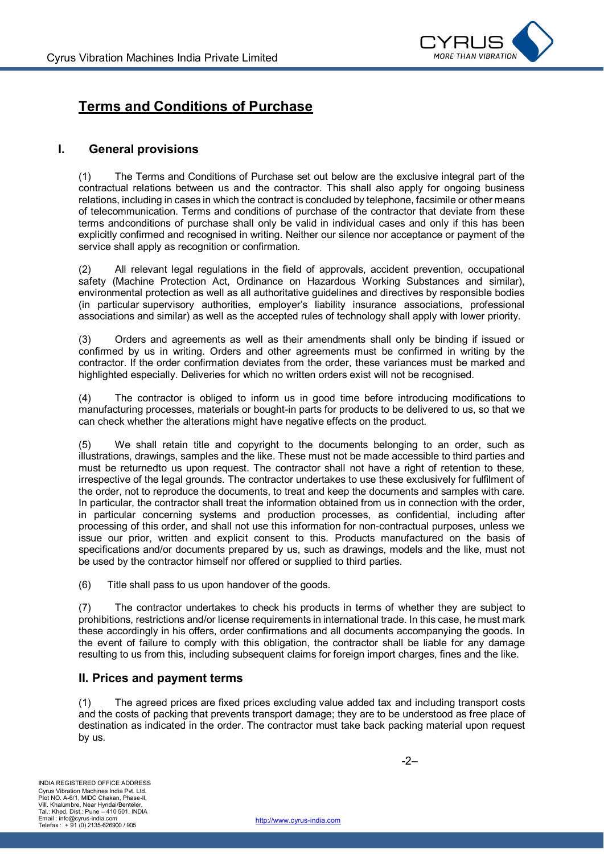

# **Terms and Conditions of Purchase**

### **I. General provisions**

(1) The Terms and Conditions of Purchase set out below are the exclusive integral part of the contractual relations between us and the contractor. This shall also apply for ongoing business relations, including in cases in which the contract is concluded by telephone, facsimile or other means of telecommunication. Terms and conditions of purchase of the contractor that deviate from these terms andconditions of purchase shall only be valid in individual cases and only if this has been explicitly confirmed and recognised in writing. Neither our silence nor acceptance or payment of the service shall apply as recognition or confirmation.

(2) All relevant legal regulations in the field of approvals, accident prevention, occupational safety (Machine Protection Act, Ordinance on Hazardous Working Substances and similar), environmental protection as well as all authoritative guidelines and directives by responsible bodies (in particular supervisory authorities, employer's liability insurance associations, professional associations and similar) as well as the accepted rules of technology shall apply with lower priority.

(3) Orders and agreements as well as their amendments shall only be binding if issued or confirmed by us in writing. Orders and other agreements must be confirmed in writing by the contractor. If the order confirmation deviates from the order, these variances must be marked and highlighted especially. Deliveries for which no written orders exist will not be recognised.

(4) The contractor is obliged to inform us in good time before introducing modifications to manufacturing processes, materials or bought-in parts for products to be delivered to us, so that we can check whether the alterations might have negative effects on the product.

(5) We shall retain title and copyright to the documents belonging to an order, such as illustrations, drawings, samples and the like. These must not be made accessible to third parties and must be returnedto us upon request. The contractor shall not have a right of retention to these, irrespective of the legal grounds. The contractor undertakes to use these exclusively for fulfilment of the order, not to reproduce the documents, to treat and keep the documents and samples with care. In particular, the contractor shall treat the information obtained from us in connection with the order, in particular concerning systems and production processes, as confidential, including after processing of this order, and shall not use this information for non-contractual purposes, unless we issue our prior, written and explicit consent to this. Products manufactured on the basis of specifications and/or documents prepared by us, such as drawings, models and the like, must not be used by the contractor himself nor offered or supplied to third parties.

(6) Title shall pass to us upon handover of the goods.

(7) The contractor undertakes to check his products in terms of whether they are subject to prohibitions, restrictions and/or license requirements in international trade. In this case, he must mark these accordingly in his offers, order confirmations and all documents accompanying the goods. In the event of failure to comply with this obligation, the contractor shall be liable for any damage resulting to us from this, including subsequent claims for foreign import charges, fines and the like.

#### **II. Prices and payment terms**

(1) The agreed prices are fixed prices excluding value added tax and including transport costs and the costs of packing that prevents transport damage; they are to be understood as free place of destination as indicated in the order. The contractor must take back packing material upon request by us.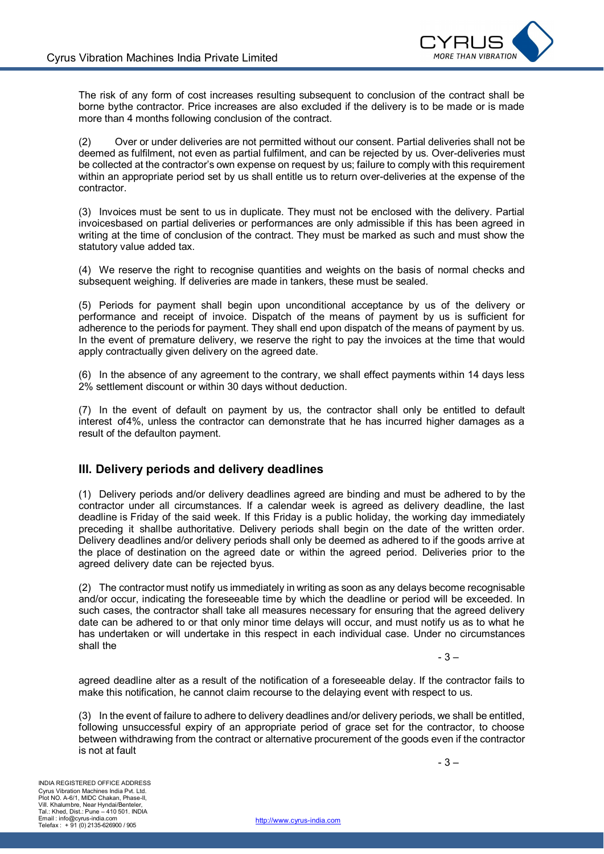

The risk of any form of cost increases resulting subsequent to conclusion of the contract shall be borne bythe contractor. Price increases are also excluded if the delivery is to be made or is made more than 4 months following conclusion of the contract.

(2) Over or under deliveries are not permitted without our consent. Partial deliveries shall not be deemed as fulfilment, not even as partial fulfilment, and can be rejected by us. Over-deliveries must be collected at the contractor's own expense on request by us; failure to comply with this requirement within an appropriate period set by us shall entitle us to return over-deliveries at the expense of the contractor.

(3) Invoices must be sent to us in duplicate. They must not be enclosed with the delivery. Partial invoicesbased on partial deliveries or performances are only admissible if this has been agreed in writing at the time of conclusion of the contract. They must be marked as such and must show the statutory value added tax.

(4) We reserve the right to recognise quantities and weights on the basis of normal checks and subsequent weighing. If deliveries are made in tankers, these must be sealed.

(5) Periods for payment shall begin upon unconditional acceptance by us of the delivery or performance and receipt of invoice. Dispatch of the means of payment by us is sufficient for adherence to the periods for payment. They shall end upon dispatch of the means of payment by us. In the event of premature delivery, we reserve the right to pay the invoices at the time that would apply contractually given delivery on the agreed date.

(6) In the absence of any agreement to the contrary, we shall effect payments within 14 days less 2% settlement discount or within 30 days without deduction.

(7) In the event of default on payment by us, the contractor shall only be entitled to default interest of4%, unless the contractor can demonstrate that he has incurred higher damages as a result of the defaulton payment.

#### **III. Delivery periods and delivery deadlines**

(1) Delivery periods and/or delivery deadlines agreed are binding and must be adhered to by the contractor under all circumstances. If a calendar week is agreed as delivery deadline, the last deadline is Friday of the said week. If this Friday is a public holiday, the working day immediately preceding it shallbe authoritative. Delivery periods shall begin on the date of the written order. Delivery deadlines and/or delivery periods shall only be deemed as adhered to if the goods arrive at the place of destination on the agreed date or within the agreed period. Deliveries prior to the agreed delivery date can be rejected byus.

(2) The contractor must notify us immediately in writing as soon as any delays become recognisable and/or occur, indicating the foreseeable time by which the deadline or period will be exceeded. In such cases, the contractor shall take all measures necessary for ensuring that the agreed delivery date can be adhered to or that only minor time delays will occur, and must notify us as to what he has undertaken or will undertake in this respect in each individual case. Under no circumstances shall the

- 3 –

agreed deadline alter as a result of the notification of a foreseeable delay. If the contractor fails to make this notification, he cannot claim recourse to the delaying event with respect to us.

(3) In the event of failure to adhere to delivery deadlines and/or delivery periods, we shall be entitled, following unsuccessful expiry of an appropriate period of grace set for the contractor, to choose between withdrawing from the contract or alternative procurement of the goods even if the contractor is not at fault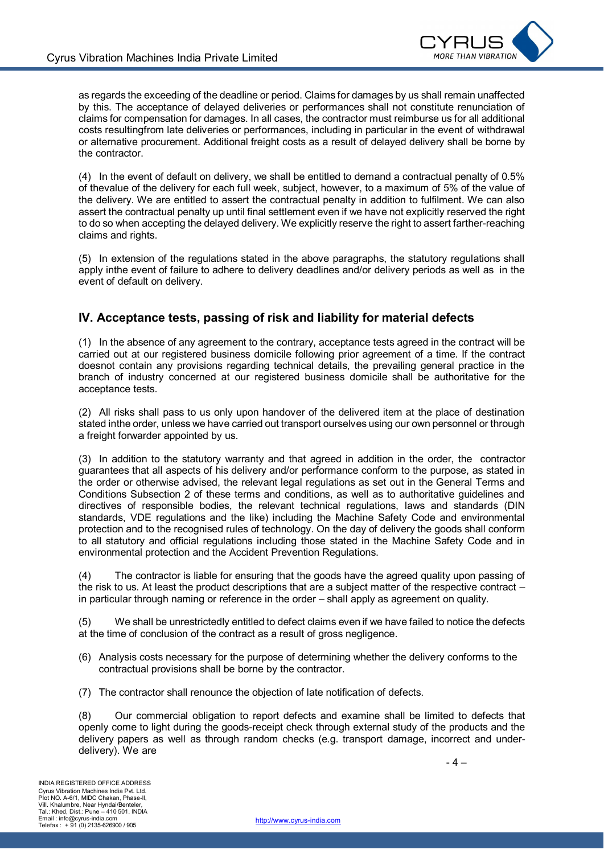

as regards the exceeding of the deadline or period. Claims for damages by us shall remain unaffected by this. The acceptance of delayed deliveries or performances shall not constitute renunciation of claims for compensation for damages. In all cases, the contractor must reimburse us for all additional costs resultingfrom late deliveries or performances, including in particular in the event of withdrawal or alternative procurement. Additional freight costs as a result of delayed delivery shall be borne by the contractor.

(4) In the event of default on delivery, we shall be entitled to demand a contractual penalty of 0.5% of thevalue of the delivery for each full week, subject, however, to a maximum of 5% of the value of the delivery. We are entitled to assert the contractual penalty in addition to fulfilment. We can also assert the contractual penalty up until final settlement even if we have not explicitly reserved the right to do so when accepting the delayed delivery. We explicitly reserve the right to assert farther-reaching claims and rights.

(5) In extension of the regulations stated in the above paragraphs, the statutory regulations shall apply inthe event of failure to adhere to delivery deadlines and/or delivery periods as well as in the event of default on delivery.

#### **IV. Acceptance tests, passing of risk and liability for material defects**

(1) In the absence of any agreement to the contrary, acceptance tests agreed in the contract will be carried out at our registered business domicile following prior agreement of a time. If the contract doesnot contain any provisions regarding technical details, the prevailing general practice in the branch of industry concerned at our registered business domicile shall be authoritative for the acceptance tests.

(2) All risks shall pass to us only upon handover of the delivered item at the place of destination stated inthe order, unless we have carried out transport ourselves using our own personnel or through a freight forwarder appointed by us.

(3) In addition to the statutory warranty and that agreed in addition in the order, the contractor guarantees that all aspects of his delivery and/or performance conform to the purpose, as stated in the order or otherwise advised, the relevant legal regulations as set out in the General Terms and Conditions Subsection 2 of these terms and conditions, as well as to authoritative guidelines and directives of responsible bodies, the relevant technical regulations, laws and standards (DIN standards, VDE regulations and the like) including the Machine Safety Code and environmental protection and to the recognised rules of technology. On the day of delivery the goods shall conform to all statutory and official regulations including those stated in the Machine Safety Code and in environmental protection and the Accident Prevention Regulations.

(4) The contractor is liable for ensuring that the goods have the agreed quality upon passing of the risk to us. At least the product descriptions that are a subject matter of the respective contract – in particular through naming or reference in the order – shall apply as agreement on quality.

(5) We shall be unrestrictedly entitled to defect claims even if we have failed to notice the defects at the time of conclusion of the contract as a result of gross negligence.

- (6) Analysis costs necessary for the purpose of determining whether the delivery conforms to the contractual provisions shall be borne by the contractor.
- (7) The contractor shall renounce the objection of late notification of defects.

(8) Our commercial obligation to report defects and examine shall be limited to defects that openly come to light during the goods-receipt check through external study of the products and the delivery papers as well as through random checks (e.g. transport damage, incorrect and underdelivery). We are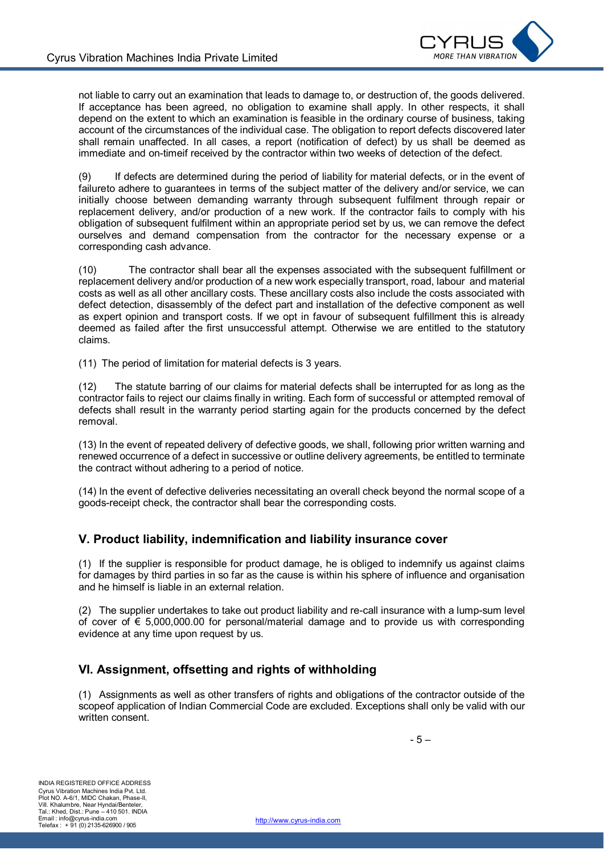

not liable to carry out an examination that leads to damage to, or destruction of, the goods delivered. If acceptance has been agreed, no obligation to examine shall apply. In other respects, it shall depend on the extent to which an examination is feasible in the ordinary course of business, taking account of the circumstances of the individual case. The obligation to report defects discovered later shall remain unaffected. In all cases, a report (notification of defect) by us shall be deemed as immediate and on-timeif received by the contractor within two weeks of detection of the defect.

(9) If defects are determined during the period of liability for material defects, or in the event of failureto adhere to guarantees in terms of the subject matter of the delivery and/or service, we can initially choose between demanding warranty through subsequent fulfilment through repair or replacement delivery, and/or production of a new work. If the contractor fails to comply with his obligation of subsequent fulfilment within an appropriate period set by us, we can remove the defect ourselves and demand compensation from the contractor for the necessary expense or a corresponding cash advance.

(10) The contractor shall bear all the expenses associated with the subsequent fulfillment or replacement delivery and/or production of a new work especially transport, road, labour and material costs as well as all other ancillary costs. These ancillary costs also include the costs associated with defect detection, disassembly of the defect part and installation of the defective component as well as expert opinion and transport costs. If we opt in favour of subsequent fulfillment this is already deemed as failed after the first unsuccessful attempt. Otherwise we are entitled to the statutory claims.

(11) The period of limitation for material defects is 3 years.

(12) The statute barring of our claims for material defects shall be interrupted for as long as the contractor fails to reject our claims finally in writing. Each form of successful or attempted removal of defects shall result in the warranty period starting again for the products concerned by the defect removal.

(13) In the event of repeated delivery of defective goods, we shall, following prior written warning and renewed occurrence of a defect in successive or outline delivery agreements, be entitled to terminate the contract without adhering to a period of notice.

(14) In the event of defective deliveries necessitating an overall check beyond the normal scope of a goods-receipt check, the contractor shall bear the corresponding costs.

#### **V. Product liability, indemnification and liability insurance cover**

(1) If the supplier is responsible for product damage, he is obliged to indemnify us against claims for damages by third parties in so far as the cause is within his sphere of influence and organisation and he himself is liable in an external relation.

(2) The supplier undertakes to take out product liability and re-call insurance with a lump-sum level of cover of € 5,000,000.00 for personal/material damage and to provide us with corresponding evidence at any time upon request by us.

## **VI. Assignment, offsetting and rights of withholding**

(1) Assignments as well as other transfers of rights and obligations of the contractor outside of the scopeof application of Indian Commercial Code are excluded. Exceptions shall only be valid with our written consent.

- 5 –